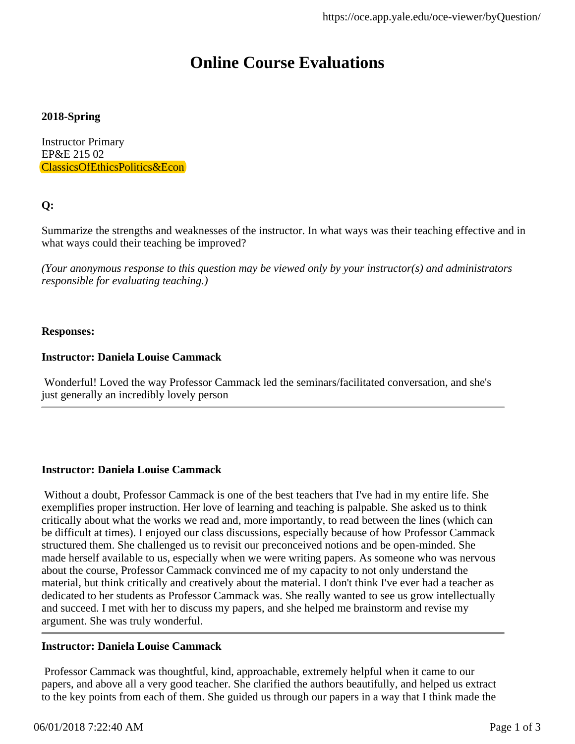### **2018-Spring**

Instructor Primary EP&E 215 02 ClassicsOfEthicsPolitics&Econ

### **Q:**

Summarize the strengths and weaknesses of the instructor. In what ways was their teaching effective and in what ways could their teaching be improved?

*(Your anonymous response to this question may be viewed only by your instructor(s) and administrators responsible for evaluating teaching.)*

### **Responses:**

### **Instructor: Daniela Louise Cammack**

 Wonderful! Loved the way Professor Cammack led the seminars/facilitated conversation, and she's just generally an incredibly lovely person

### **Instructor: Daniela Louise Cammack**

 Without a doubt, Professor Cammack is one of the best teachers that I've had in my entire life. She exemplifies proper instruction. Her love of learning and teaching is palpable. She asked us to think critically about what the works we read and, more importantly, to read between the lines (which can be difficult at times). I enjoyed our class discussions, especially because of how Professor Cammack structured them. She challenged us to revisit our preconceived notions and be open-minded. She made herself available to us, especially when we were writing papers. As someone who was nervous about the course, Professor Cammack convinced me of my capacity to not only understand the material, but think critically and creatively about the material. I don't think I've ever had a teacher as dedicated to her students as Professor Cammack was. She really wanted to see us grow intellectually and succeed. I met with her to discuss my papers, and she helped me brainstorm and revise my argument. She was truly wonderful.

### **Instructor: Daniela Louise Cammack**

 Professor Cammack was thoughtful, kind, approachable, extremely helpful when it came to our papers, and above all a very good teacher. She clarified the authors beautifully, and helped us extract to the key points from each of them. She guided us through our papers in a way that I think made the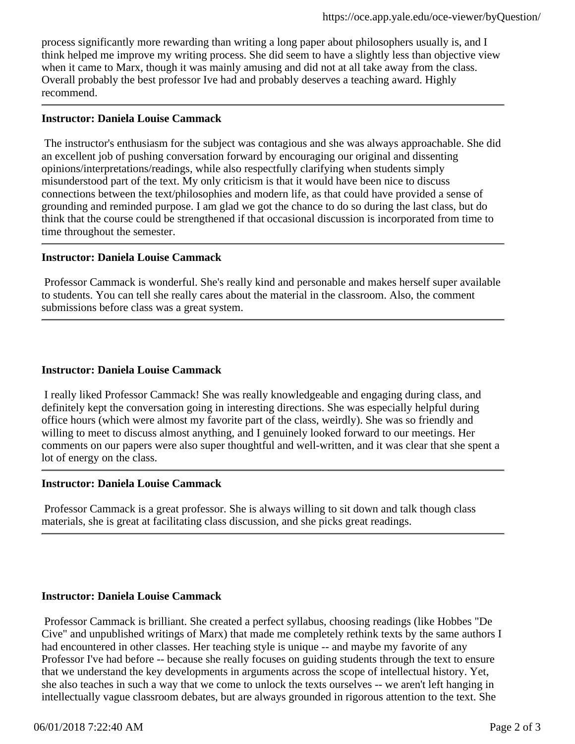process significantly more rewarding than writing a long paper about philosophers usually is, and I think helped me improve my writing process. She did seem to have a slightly less than objective view when it came to Marx, though it was mainly amusing and did not at all take away from the class. Overall probably the best professor Ive had and probably deserves a teaching award. Highly recommend.

### **Instructor: Daniela Louise Cammack**

 The instructor's enthusiasm for the subject was contagious and she was always approachable. She did an excellent job of pushing conversation forward by encouraging our original and dissenting opinions/interpretations/readings, while also respectfully clarifying when students simply misunderstood part of the text. My only criticism is that it would have been nice to discuss connections between the text/philosophies and modern life, as that could have provided a sense of grounding and reminded purpose. I am glad we got the chance to do so during the last class, but do think that the course could be strengthened if that occasional discussion is incorporated from time to time throughout the semester.

### **Instructor: Daniela Louise Cammack**

 Professor Cammack is wonderful. She's really kind and personable and makes herself super available to students. You can tell she really cares about the material in the classroom. Also, the comment submissions before class was a great system.

### **Instructor: Daniela Louise Cammack**

 I really liked Professor Cammack! She was really knowledgeable and engaging during class, and definitely kept the conversation going in interesting directions. She was especially helpful during office hours (which were almost my favorite part of the class, weirdly). She was so friendly and willing to meet to discuss almost anything, and I genuinely looked forward to our meetings. Her comments on our papers were also super thoughtful and well-written, and it was clear that she spent a lot of energy on the class.

### **Instructor: Daniela Louise Cammack**

 Professor Cammack is a great professor. She is always willing to sit down and talk though class materials, she is great at facilitating class discussion, and she picks great readings.

### **Instructor: Daniela Louise Cammack**

 Professor Cammack is brilliant. She created a perfect syllabus, choosing readings (like Hobbes "De Cive" and unpublished writings of Marx) that made me completely rethink texts by the same authors I had encountered in other classes. Her teaching style is unique -- and maybe my favorite of any Professor I've had before -- because she really focuses on guiding students through the text to ensure that we understand the key developments in arguments across the scope of intellectual history. Yet, she also teaches in such a way that we come to unlock the texts ourselves -- we aren't left hanging in intellectually vague classroom debates, but are always grounded in rigorous attention to the text. She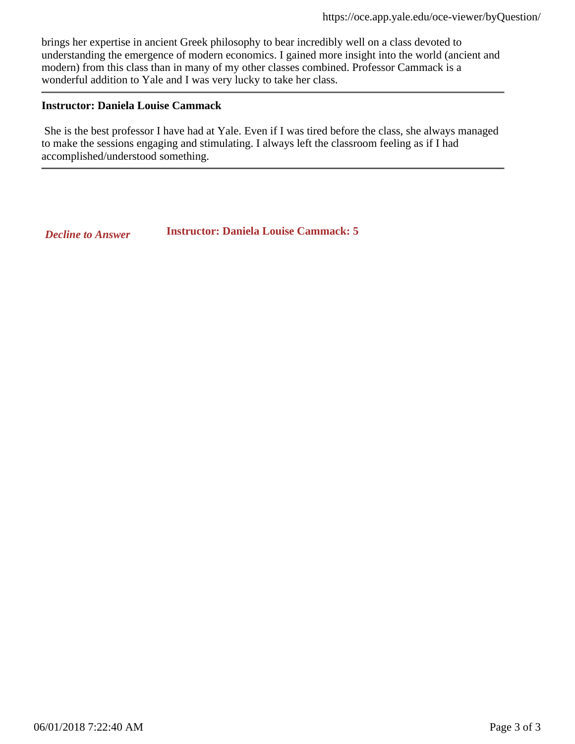brings her expertise in ancient Greek philosophy to bear incredibly well on a class devoted to understanding the emergence of modern economics. I gained more insight into the world (ancient and modern) from this class than in many of my other classes combined. Professor Cammack is a wonderful addition to Yale and I was very lucky to take her class.

### **Instructor: Daniela Louise Cammack**

 She is the best professor I have had at Yale. Even if I was tired before the class, she always managed to make the sessions engaging and stimulating. I always left the classroom feeling as if I had accomplished/understood something.

*Decline to Answer* **Instructor: Daniela Louise Cammack: 5**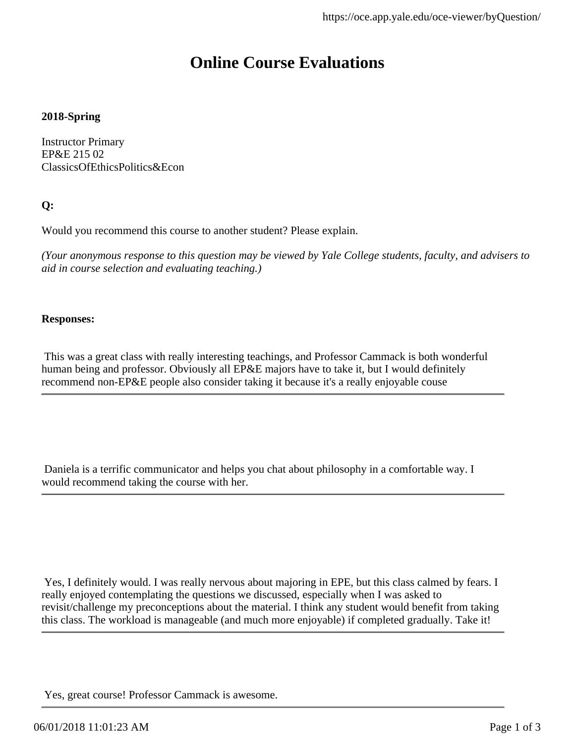### **2018-Spring**

Instructor Primary EP&E 215 02 ClassicsOfEthicsPolitics&Econ

### **Q:**

Would you recommend this course to another student? Please explain.

*(Your anonymous response to this question may be viewed by Yale College students, faculty, and advisers to aid in course selection and evaluating teaching.)*

### **Responses:**

 This was a great class with really interesting teachings, and Professor Cammack is both wonderful human being and professor. Obviously all EP&E majors have to take it, but I would definitely recommend non-EP&E people also consider taking it because it's a really enjoyable couse

 Daniela is a terrific communicator and helps you chat about philosophy in a comfortable way. I would recommend taking the course with her.

 Yes, I definitely would. I was really nervous about majoring in EPE, but this class calmed by fears. I really enjoyed contemplating the questions we discussed, especially when I was asked to revisit/challenge my preconceptions about the material. I think any student would benefit from taking this class. The workload is manageable (and much more enjoyable) if completed gradually. Take it!

Yes, great course! Professor Cammack is awesome.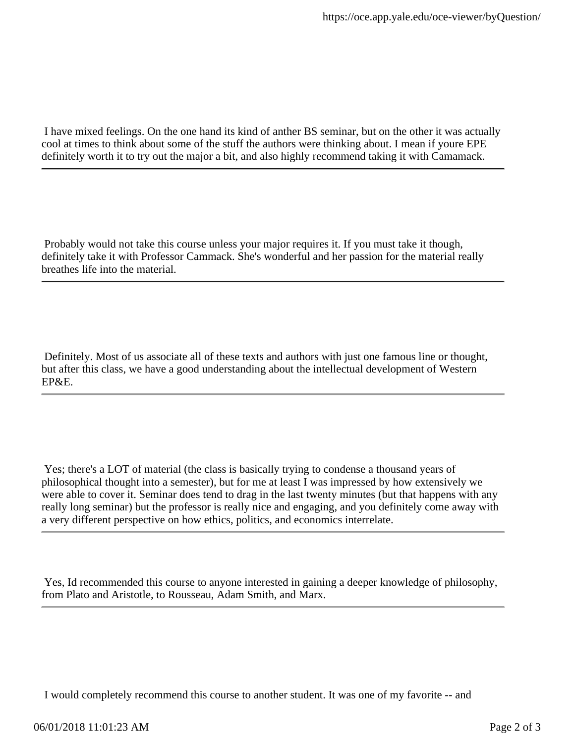I have mixed feelings. On the one hand its kind of anther BS seminar, but on the other it was actually cool at times to think about some of the stuff the authors were thinking about. I mean if youre EPE definitely worth it to try out the major a bit, and also highly recommend taking it with Camamack.

 Probably would not take this course unless your major requires it. If you must take it though, definitely take it with Professor Cammack. She's wonderful and her passion for the material really breathes life into the material.

 Definitely. Most of us associate all of these texts and authors with just one famous line or thought, but after this class, we have a good understanding about the intellectual development of Western EP&E.

 Yes; there's a LOT of material (the class is basically trying to condense a thousand years of philosophical thought into a semester), but for me at least I was impressed by how extensively we were able to cover it. Seminar does tend to drag in the last twenty minutes (but that happens with any really long seminar) but the professor is really nice and engaging, and you definitely come away with a very different perspective on how ethics, politics, and economics interrelate.

 Yes, Id recommended this course to anyone interested in gaining a deeper knowledge of philosophy, from Plato and Aristotle, to Rousseau, Adam Smith, and Marx.

I would completely recommend this course to another student. It was one of my favorite -- and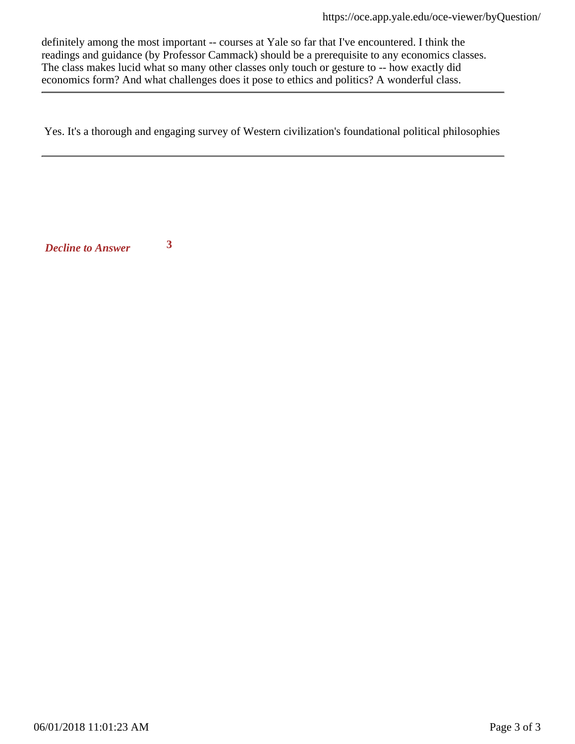definitely among the most important -- courses at Yale so far that I've encountered. I think the readings and guidance (by Professor Cammack) should be a prerequisite to any economics classes. The class makes lucid what so many other classes only touch or gesture to -- how exactly did economics form? And what challenges does it pose to ethics and politics? A wonderful class.

Yes. It's a thorough and engaging survey of Western civilization's foundational political philosophies

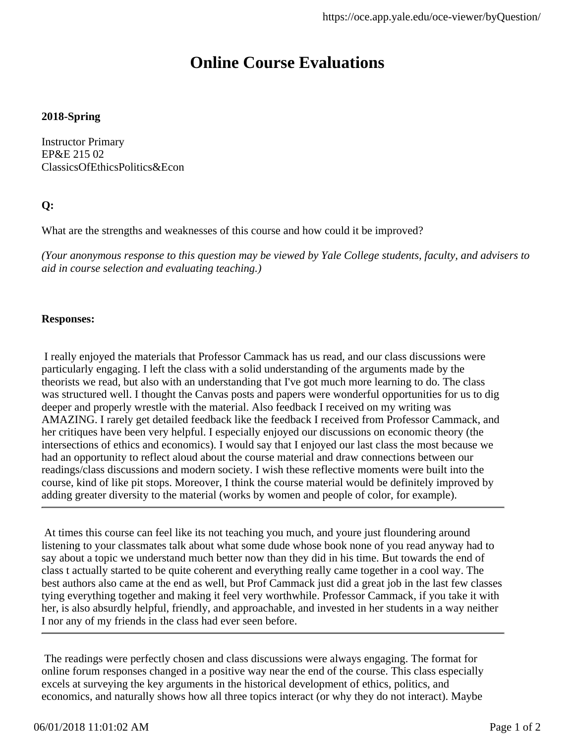### **2018-Spring**

Instructor Primary EP&E 215 02 ClassicsOfEthicsPolitics&Econ

### **Q:**

What are the strengths and weaknesses of this course and how could it be improved?

*(Your anonymous response to this question may be viewed by Yale College students, faculty, and advisers to aid in course selection and evaluating teaching.)*

### **Responses:**

 I really enjoyed the materials that Professor Cammack has us read, and our class discussions were particularly engaging. I left the class with a solid understanding of the arguments made by the theorists we read, but also with an understanding that I've got much more learning to do. The class was structured well. I thought the Canvas posts and papers were wonderful opportunities for us to dig deeper and properly wrestle with the material. Also feedback I received on my writing was AMAZING. I rarely get detailed feedback like the feedback I received from Professor Cammack, and her critiques have been very helpful. I especially enjoyed our discussions on economic theory (the intersections of ethics and economics). I would say that I enjoyed our last class the most because we had an opportunity to reflect aloud about the course material and draw connections between our readings/class discussions and modern society. I wish these reflective moments were built into the course, kind of like pit stops. Moreover, I think the course material would be definitely improved by adding greater diversity to the material (works by women and people of color, for example).

 At times this course can feel like its not teaching you much, and youre just floundering around listening to your classmates talk about what some dude whose book none of you read anyway had to say about a topic we understand much better now than they did in his time. But towards the end of class t actually started to be quite coherent and everything really came together in a cool way. The best authors also came at the end as well, but Prof Cammack just did a great job in the last few classes tying everything together and making it feel very worthwhile. Professor Cammack, if you take it with her, is also absurdly helpful, friendly, and approachable, and invested in her students in a way neither I nor any of my friends in the class had ever seen before.

 The readings were perfectly chosen and class discussions were always engaging. The format for online forum responses changed in a positive way near the end of the course. This class especially excels at surveying the key arguments in the historical development of ethics, politics, and economics, and naturally shows how all three topics interact (or why they do not interact). Maybe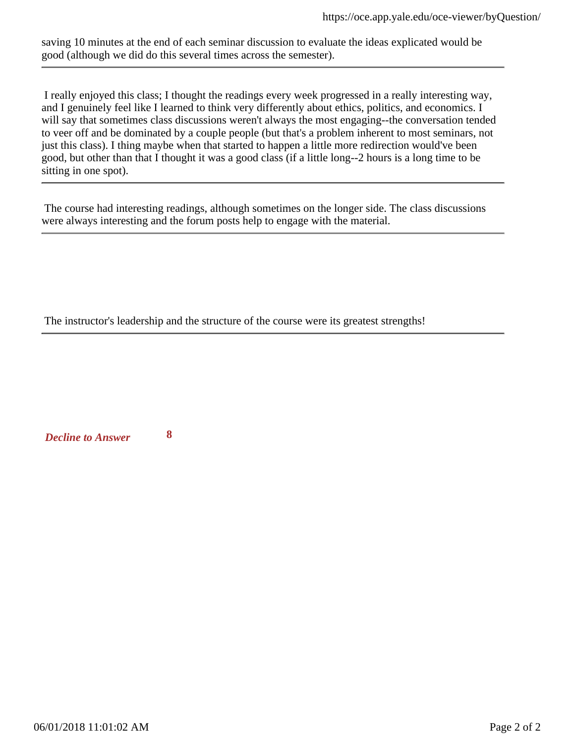saving 10 minutes at the end of each seminar discussion to evaluate the ideas explicated would be good (although we did do this several times across the semester).

 I really enjoyed this class; I thought the readings every week progressed in a really interesting way, and I genuinely feel like I learned to think very differently about ethics, politics, and economics. I will say that sometimes class discussions weren't always the most engaging--the conversation tended to veer off and be dominated by a couple people (but that's a problem inherent to most seminars, not just this class). I thing maybe when that started to happen a little more redirection would've been good, but other than that I thought it was a good class (if a little long--2 hours is a long time to be sitting in one spot).

 The course had interesting readings, although sometimes on the longer side. The class discussions were always interesting and the forum posts help to engage with the material.

The instructor's leadership and the structure of the course were its greatest strengths!

*Decline to Answer* **8**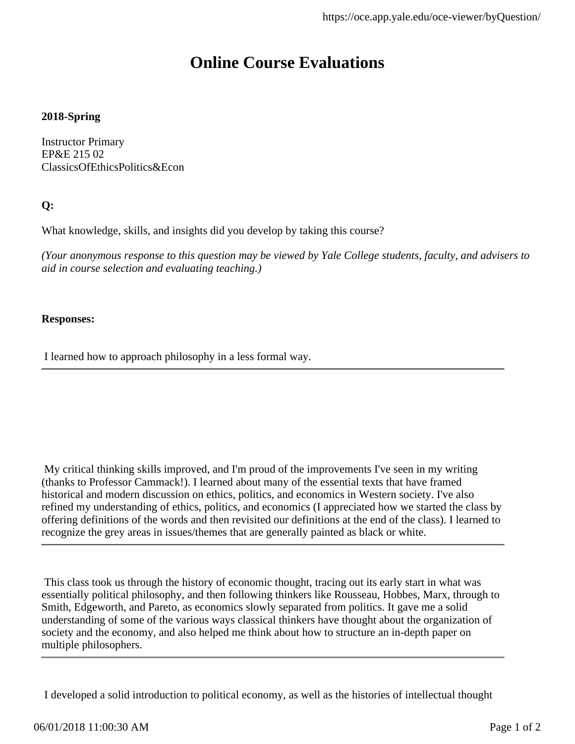### **2018-Spring**

Instructor Primary EP&E 215 02 ClassicsOfEthicsPolitics&Econ

### **Q:**

What knowledge, skills, and insights did you develop by taking this course?

*(Your anonymous response to this question may be viewed by Yale College students, faculty, and advisers to aid in course selection and evaluating teaching.)*

### **Responses:**

I learned how to approach philosophy in a less formal way.

 My critical thinking skills improved, and I'm proud of the improvements I've seen in my writing (thanks to Professor Cammack!). I learned about many of the essential texts that have framed historical and modern discussion on ethics, politics, and economics in Western society. I've also refined my understanding of ethics, politics, and economics (I appreciated how we started the class by offering definitions of the words and then revisited our definitions at the end of the class). I learned to recognize the grey areas in issues/themes that are generally painted as black or white.

 This class took us through the history of economic thought, tracing out its early start in what was essentially political philosophy, and then following thinkers like Rousseau, Hobbes, Marx, through to Smith, Edgeworth, and Pareto, as economics slowly separated from politics. It gave me a solid understanding of some of the various ways classical thinkers have thought about the organization of society and the economy, and also helped me think about how to structure an in-depth paper on multiple philosophers.

I developed a solid introduction to political economy, as well as the histories of intellectual thought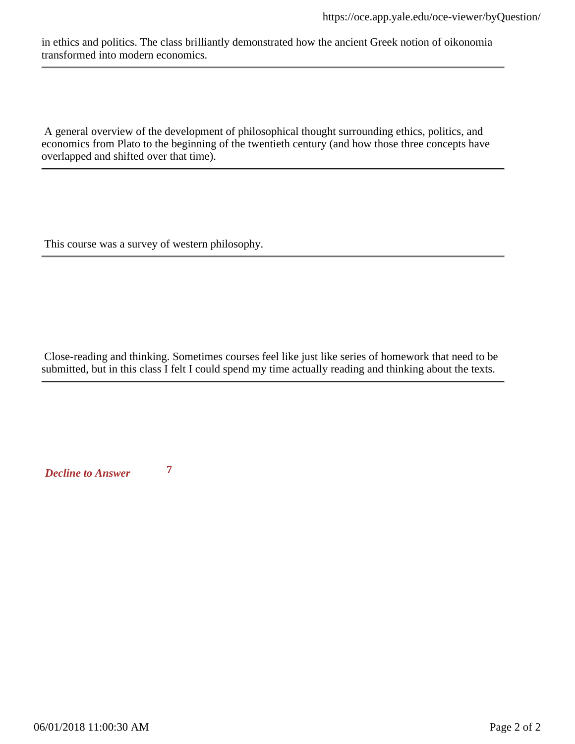in ethics and politics. The class brilliantly demonstrated how the ancient Greek notion of oikonomia transformed into modern economics.

 A general overview of the development of philosophical thought surrounding ethics, politics, and economics from Plato to the beginning of the twentieth century (and how those three concepts have overlapped and shifted over that time).

This course was a survey of western philosophy.

 Close-reading and thinking. Sometimes courses feel like just like series of homework that need to be submitted, but in this class I felt I could spend my time actually reading and thinking about the texts.

*Decline to Answer* **7**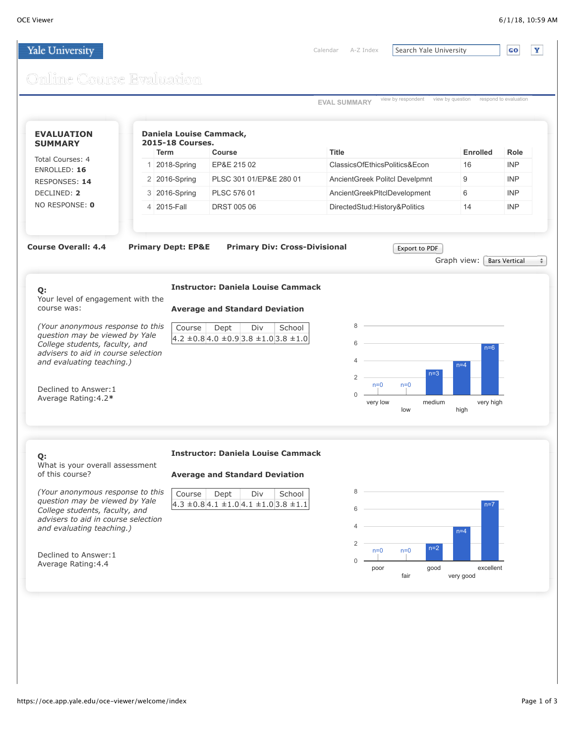$\mathbf{Y}$ 

### Yale University

[Calendar](http://events.yale.edu/opa/ChooseDate.jsp) [A-Z Index](http://www.yale.edu/search/index_a_z.html) Search Yale University

GO

# Online Course Evaluation

| Total Courses: 4                                                                                                                                                                                                          | Daniela Louise Cammack,<br><b>2015-18 Courses.</b> |                                                                                   |                                                                 |                   |                      |  |
|---------------------------------------------------------------------------------------------------------------------------------------------------------------------------------------------------------------------------|----------------------------------------------------|-----------------------------------------------------------------------------------|-----------------------------------------------------------------|-------------------|----------------------|--|
|                                                                                                                                                                                                                           | <b>Term</b>                                        | Course                                                                            | <b>Title</b>                                                    | <b>Enrolled</b>   | Role                 |  |
| ENROLLED: 16                                                                                                                                                                                                              | 1 2018-Spring                                      | EP&E 215 02                                                                       | ClassicsOfEthicsPolitics&Econ                                   | 16                | <b>INP</b>           |  |
| RESPONSES: 14                                                                                                                                                                                                             | 2 2016-Spring                                      | PLSC 301 01/EP&E 280 01                                                           | AncientGreek Politcl Develpmnt                                  | 9                 | <b>INP</b>           |  |
| DECLINED: 2                                                                                                                                                                                                               | 3 2016-Spring                                      | PLSC 576 01                                                                       | AncientGreekPltclDevelopment                                    | 6                 | <b>INP</b>           |  |
| NO RESPONSE: 0                                                                                                                                                                                                            | 4 2015-Fall                                        | <b>DRST 005 06</b>                                                                | DirectedStud:History&Politics                                   |                   | <b>INP</b>           |  |
| <b>Course Overall: 4.4</b><br>Q:<br>Your level of engagement with the                                                                                                                                                     | <b>Primary Dept: EP&amp;E</b>                      | <b>Primary Div: Cross-Divisional</b><br><b>Instructor: Daniela Louise Cammack</b> | Export to PDF                                                   | Graph view: [     | <b>Bars Vertical</b> |  |
| (Your anonymous response to this<br>question may be viewed by Yale<br>College students, faculty, and<br>advisers to aid in course selection<br>and evaluating teaching.)<br>Declined to Answer: 1<br>Average Rating: 4.2* | Course                                             | Div<br>School<br>Dept<br>$4.2 \pm 0.84.0 \pm 0.93.8 \pm 1.03.8 \pm 1.0$           | 8<br>6<br>$n=3$<br>$\overline{2}$<br>$n=0$<br>$n=0$<br>$\Omega$ | $n=6$<br>$n=4$    |                      |  |
|                                                                                                                                                                                                                           |                                                    |                                                                                   | medium<br>very low<br>low                                       | very high<br>high |                      |  |
| Q:                                                                                                                                                                                                                        |                                                    | <b>Instructor: Daniela Louise Cammack</b>                                         |                                                                 |                   |                      |  |
| What is your overall assessment<br>of this course?                                                                                                                                                                        |                                                    | <b>Average and Standard Deviation</b>                                             |                                                                 |                   |                      |  |
| (Your anonymous response to this<br>question may be viewed by Yale<br>College students, faculty, and<br>advisers to aid in course selection                                                                               | Course                                             | Dept<br>Div<br>School<br>$4.3 \pm 0.8$ 4.1 $\pm 1.0$ 4.1 $\pm 1.0$ 3.8 $\pm 1.1$  | 8<br>6                                                          | $n=7$             |                      |  |
|                                                                                                                                                                                                                           |                                                    |                                                                                   |                                                                 | $n=4$             |                      |  |
| and evaluating teaching.)                                                                                                                                                                                                 |                                                    |                                                                                   | $\overline{2}$<br>$n=2$<br>$n=0$<br>$n=0$                       |                   |                      |  |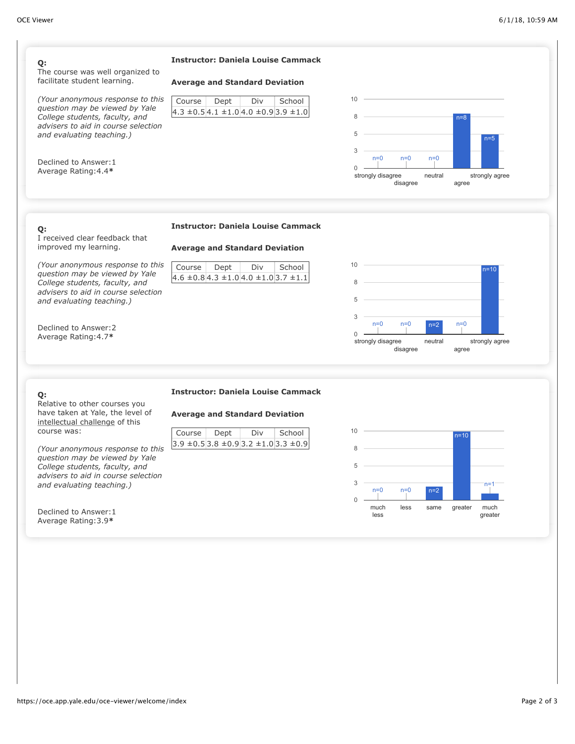